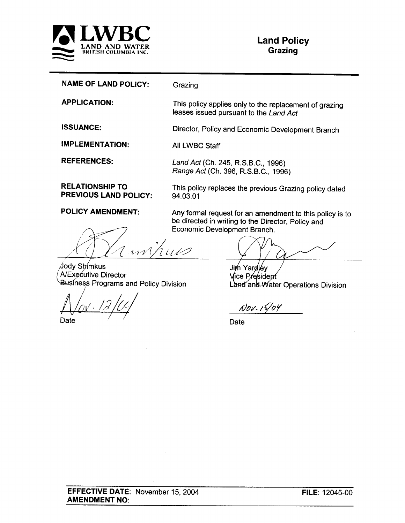

|  |  |  | <b>NAME OF LAND POLICY:</b> | Grazing |
|--|--|--|-----------------------------|---------|
|--|--|--|-----------------------------|---------|

This policy applies only to the replacement of grazing leases issued pursuant to the Land Act

Director, Policy and Economic Development Branch

**IMPLEMENTATION:** All LWBC Staff

**REFERENCES:** 

**APPLICATION:** 

**ISSUANCE:** 

Land Act (Ch. 245, R.S.B.C., 1996) Range Act (Ch. 396, R.S.B.C., 1996)

**RELATIONSHIP TO PREVIOUS LAND POLICY:** 

This policy replaces the previous Grazing policy dated 94.03.01

Any formal request for an amendment to this policy is to

be directed in writing to the Director, Policy and

**POLICY AMENDMENT:** 

Economic Development Branch. 1410 rrv

Jody Shimkus A/Executive Director **Business Programs and Policy Division** 

Date

Jim Yardley Vice President Land and Water Operations Division

Nov. 15/04

Date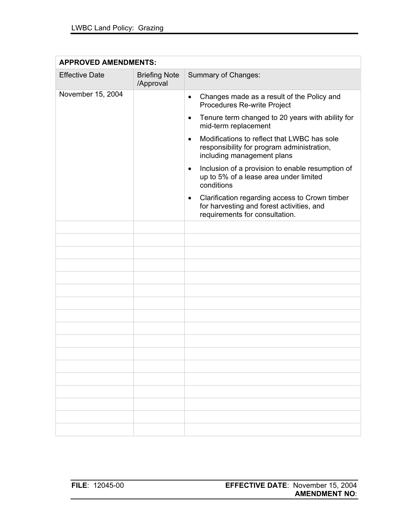| <b>APPROVED AMENDMENTS:</b> |                                   |                                                                                                                                            |  |
|-----------------------------|-----------------------------------|--------------------------------------------------------------------------------------------------------------------------------------------|--|
| <b>Effective Date</b>       | <b>Briefing Note</b><br>/Approval | Summary of Changes:                                                                                                                        |  |
| November 15, 2004           |                                   | Changes made as a result of the Policy and<br>$\bullet$<br>Procedures Re-write Project                                                     |  |
|                             |                                   | Tenure term changed to 20 years with ability for<br>٠<br>mid-term replacement                                                              |  |
|                             |                                   | Modifications to reflect that LWBC has sole<br>$\bullet$<br>responsibility for program administration,<br>including management plans       |  |
|                             |                                   | Inclusion of a provision to enable resumption of<br>$\bullet$<br>up to 5% of a lease area under limited<br>conditions                      |  |
|                             |                                   | Clarification regarding access to Crown timber<br>$\bullet$<br>for harvesting and forest activities, and<br>requirements for consultation. |  |
|                             |                                   |                                                                                                                                            |  |
|                             |                                   |                                                                                                                                            |  |
|                             |                                   |                                                                                                                                            |  |
|                             |                                   |                                                                                                                                            |  |
|                             |                                   |                                                                                                                                            |  |
|                             |                                   |                                                                                                                                            |  |
|                             |                                   |                                                                                                                                            |  |
|                             |                                   |                                                                                                                                            |  |
|                             |                                   |                                                                                                                                            |  |
|                             |                                   |                                                                                                                                            |  |
|                             |                                   |                                                                                                                                            |  |
|                             |                                   |                                                                                                                                            |  |
|                             |                                   |                                                                                                                                            |  |
|                             |                                   |                                                                                                                                            |  |
|                             |                                   |                                                                                                                                            |  |
|                             |                                   |                                                                                                                                            |  |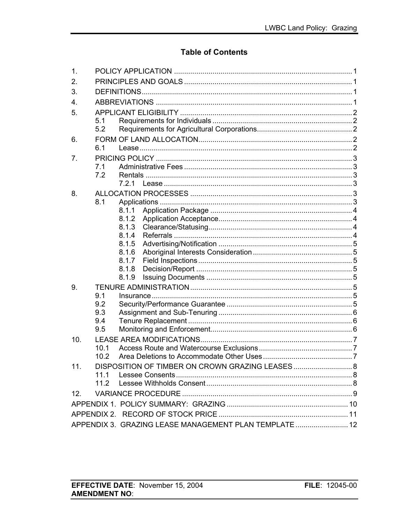# **Table of Contents**

| 1.                                                     |                |  |  |  |  |
|--------------------------------------------------------|----------------|--|--|--|--|
| 2.                                                     |                |  |  |  |  |
| 3.                                                     |                |  |  |  |  |
| 4.                                                     |                |  |  |  |  |
| 5.                                                     |                |  |  |  |  |
|                                                        | 5.1            |  |  |  |  |
|                                                        | 5.2            |  |  |  |  |
| 6.                                                     |                |  |  |  |  |
|                                                        | 6.1            |  |  |  |  |
| 7.                                                     |                |  |  |  |  |
|                                                        | 7.1            |  |  |  |  |
|                                                        | 7.2            |  |  |  |  |
|                                                        |                |  |  |  |  |
| 8.                                                     |                |  |  |  |  |
|                                                        | 8.1            |  |  |  |  |
|                                                        | 8.1.1          |  |  |  |  |
|                                                        | 8.1.2<br>8.1.3 |  |  |  |  |
|                                                        | 8.1.4          |  |  |  |  |
|                                                        | 8.1.5          |  |  |  |  |
|                                                        | 8.1.6          |  |  |  |  |
|                                                        | 8.1.7          |  |  |  |  |
|                                                        | 8.1.8          |  |  |  |  |
|                                                        | 8.1.9          |  |  |  |  |
| 9.                                                     |                |  |  |  |  |
|                                                        | 9.1            |  |  |  |  |
|                                                        | 9.2            |  |  |  |  |
|                                                        | 9.3            |  |  |  |  |
|                                                        | 9.4<br>9.5     |  |  |  |  |
|                                                        |                |  |  |  |  |
| 10.                                                    | 10.1           |  |  |  |  |
|                                                        | 10.2           |  |  |  |  |
| 11.                                                    |                |  |  |  |  |
|                                                        | 11.1           |  |  |  |  |
|                                                        | 112            |  |  |  |  |
| 12 <sub>1</sub>                                        |                |  |  |  |  |
|                                                        |                |  |  |  |  |
|                                                        |                |  |  |  |  |
|                                                        |                |  |  |  |  |
| APPENDIX 3. GRAZING LEASE MANAGEMENT PLAN TEMPLATE  12 |                |  |  |  |  |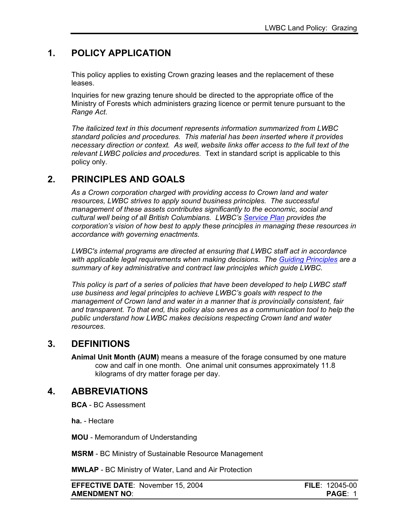# <span id="page-4-0"></span>**1. POLICY APPLICATION**

This policy applies to existing Crown grazing leases and the replacement of these leases.

Inquiries for new grazing tenure should be directed to the appropriate office of the Ministry of Forests which administers grazing licence or permit tenure pursuant to the *Range Act*.

*The italicized text in this document represents information summarized from LWBC standard policies and procedures. This material has been inserted where it provides necessary direction or context. As well, website links offer access to the full text of the relevant LWBC policies and procedures.* Text in standard script is applicable to this policy only.

# **2. PRINCIPLES AND GOALS**

*As a Crown corporation charged with providing access to Crown land and water resources, LWBC strives to apply sound business principles. The successful management of these assets contributes significantly to the economic, social and cultural well being of all British Columbians. LWBC's [Service Plan](http://lwbc.bc.ca/05media/reports/index.html) provides the corporation's vision of how best to apply these principles in managing these resources in accordance with governing enactments.* 

*LWBC's internal programs are directed at ensuring that LWBC staff act in accordance with applicable legal requirements when making decisions. The [Guiding Principles](http://lwbc.bc.ca/01lwbc/policies/policy/general/governance.pdf) are a summary of key administrative and contract law principles which guide LWBC.* 

*This policy is part of a series of policies that have been developed to help LWBC staff use business and legal principles to achieve LWBC's goals with respect to the management of Crown land and water in a manner that is provincially consistent, fair and transparent. To that end, this policy also serves as a communication tool to help the public understand how LWBC makes decisions respecting Crown land and water resources.* 

# **3. DEFINITIONS**

**Animal Unit Month (AUM)** means a measure of the forage consumed by one mature cow and calf in one month. One animal unit consumes approximately 11.8 kilograms of dry matter forage per day.

# **4. ABBREVIATIONS**

**BCA** - BC Assessment

**ha.** - Hectare

**MOU** - Memorandum of Understanding

**MSRM** - BC Ministry of Sustainable Resource Management

**MWLAP** - BC Ministry of Water, Land and Air Protection

**EFFECTIVE DATE**: November 15, 2004 **FILE**: 12045-00 **AMENDMENT NO**: **PAGE**: 1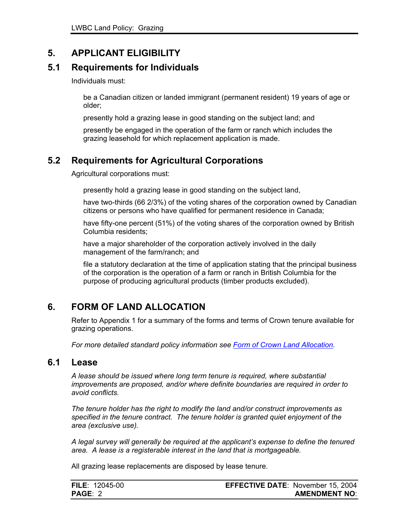# <span id="page-5-0"></span>**5. APPLICANT ELIGIBILITY**

#### **5.1 Requirements for Individuals**

Individuals must:

be a Canadian citizen or landed immigrant (permanent resident) 19 years of age or older;

presently hold a grazing lease in good standing on the subject land; and

presently be engaged in the operation of the farm or ranch which includes the grazing leasehold for which replacement application is made.

# **5.2 Requirements for Agricultural Corporations**

Agricultural corporations must:

presently hold a grazing lease in good standing on the subject land,

have two-thirds (66 2/3%) of the voting shares of the corporation owned by Canadian citizens or persons who have qualified for permanent residence in Canada;

have fifty-one percent (51%) of the voting shares of the corporation owned by British Columbia residents;

have a major shareholder of the corporation actively involved in the daily management of the farm/ranch; and

file a statutory declaration at the time of application stating that the principal business of the corporation is the operation of a farm or ranch in British Columbia for the purpose of producing agricultural products (timber products excluded).

# **6. FORM OF LAND ALLOCATION**

Refer to Appendix 1 for a summary of the forms and terms of Crown tenure available for grazing operations.

*For more detailed standard policy information see [Form of Crown Land Allocation.](http://lwbc.bc.ca/01lwbc/policies/policy/land/crown_land_allocation.pdf)* 

#### **6.1 Lease**

*A lease should be issued where long term tenure is required, where substantial improvements are proposed, and/or where definite boundaries are required in order to avoid conflicts.* 

*The tenure holder has the right to modify the land and/or construct improvements as specified in the tenure contract. The tenure holder is granted quiet enjoyment of the area (exclusive use).* 

*A legal survey will generally be required at the applicant's expense to define the tenured area. A lease is a registerable interest in the land that is mortgageable.*

All grazing lease replacements are disposed by lease tenure.

| <b>FILE: 12045-00</b> | <b>EFFECTIVE DATE: November 15, 2004</b> |
|-----------------------|------------------------------------------|
| <b>PAGE: 2</b>        | <b>AMENDMENT NO:</b>                     |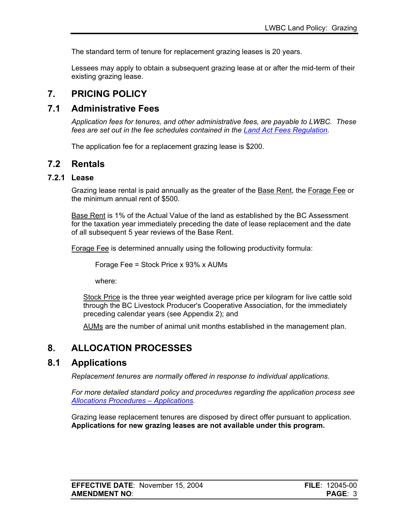<span id="page-6-0"></span>The standard term of tenure for replacement grazing leases is 20 years.

Lessees may apply to obtain a subsequent grazing lease at or after the mid-term of their existing grazing lease.

# **7. PRICING POLICY**

### **7.1 Administrative Fees**

*Application fees for tenures, and other administrative fees, are payable to LWBC. These fees are set out in the fee schedules contained in the [Land Act Fees Regulation](http://lwbc.bc.ca/01lwbc/leg/fees.html).* 

The application fee for a replacement grazing lease is \$200.

### **7.2 Rentals**

#### **7.2.1 Lease**

Grazing lease rental is paid annually as the greater of the Base Rent, the Forage Fee or the minimum annual rent of \$500.

Base Rent is 1% of the Actual Value of the land as established by the BC Assessment for the taxation year immediately preceding the date of lease replacement and the date of all subsequent 5 year reviews of the Base Rent.

Forage Fee is determined annually using the following productivity formula:

Forage Fee = Stock Price x 93% x AUMs

where:

Stock Price is the three year weighted average price per kilogram for live cattle sold through the BC Livestock Producer's Cooperative Association, for the immediately preceding calendar years (see Appendix 2); and

AUMs are the number of animal unit months established in the management plan.

# **8. ALLOCATION PROCESSES**

# **8.1 Applications**

*Replacement tenures are normally offered in response to individual applications.* 

*For more detailed standard policy and procedures regarding the application process see [Allocations Procedures – Applications](http://lwbc.bc.ca/01lwbc/policies/procedures/land/ap_applications.pdf).* 

Grazing lease replacement tenures are disposed by direct offer pursuant to application. **Applications for new grazing leases are not available under this program.**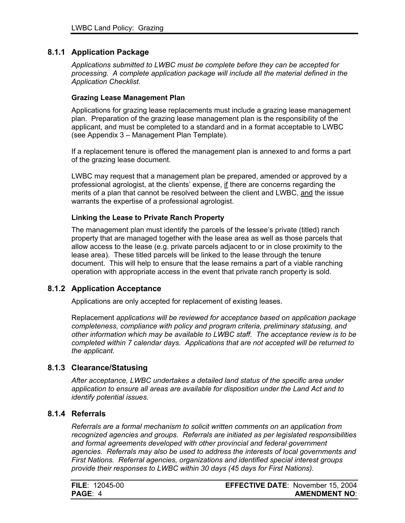#### <span id="page-7-0"></span>**8.1.1 Application Package**

*Applications submitted to LWBC must be complete before they can be accepted for processing. A complete application package will include all the material defined in the Application Checklist.*

#### **Grazing Lease Management Plan**

Applications for grazing lease replacements must include a grazing lease management plan. Preparation of the grazing lease management plan is the responsibility of the applicant, and must be completed to a standard and in a format acceptable to LWBC (see Appendix 3 – Management Plan Template).

If a replacement tenure is offered the management plan is annexed to and forms a part of the grazing lease document.

LWBC may request that a management plan be prepared, amended or approved by a professional agrologist, at the clients' expense, if there are concerns regarding the merits of a plan that cannot be resolved between the client and LWBC, and the issue warrants the expertise of a professional agrologist.

#### **Linking the Lease to Private Ranch Property**

The management plan must identify the parcels of the lessee's private (titled) ranch property that are managed together with the lease area as well as those parcels that allow access to the lease (e.g. private parcels adjacent to or in close proximity to the lease area). These titled parcels will be linked to the lease through the tenure document. This will help to ensure that the lease remains a part of a viable ranching operation with appropriate access in the event that private ranch property is sold.

#### **8.1.2 Application Acceptance**

Applications are only accepted for replac*e*ment of existing leases.

Replacement *applications will be reviewed for acceptance based on application package completeness, compliance with policy and program criteria, preliminary statusing, and other information which may be available to LWBC staff. The acceptance review is to be completed within 7 calendar days. Applications that are not accepted will be returned to the applicant.*

#### **8.1.3 Clearance/Statusing**

*After acceptance, LWBC undertakes a detailed land status of the specific area under application to ensure all areas are available for disposition under the Land Act and to identify potential issues.* 

#### **8.1.4 Referrals**

*Referrals are a formal mechanism to solicit written comments on an application from recognized agencies and groups. Referrals are initiated as per legislated responsibilities and formal agreements developed with other provincial and federal government agencies. Referrals may also be used to address the interests of local governments and First Nations. Referral agencies, organizations and identified special interest groups provide their responses to LWBC within 30 days (45 days for First Nations).* 

| <b>FILE: 12045-00</b> | <b>EFFECTIVE DATE: November 15, 2004</b> |
|-----------------------|------------------------------------------|
| PAGE: 4               | <b>AMENDMENT NO:</b>                     |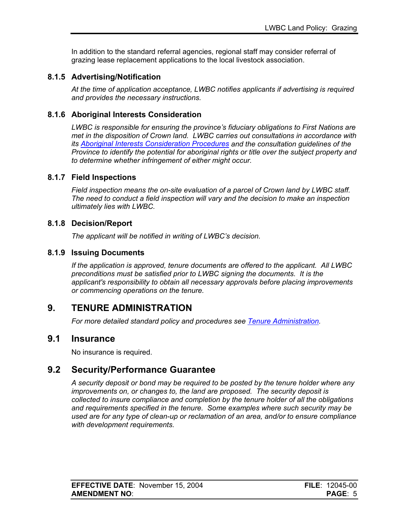<span id="page-8-0"></span>In addition to the standard referral agencies, regional staff may consider referral of grazing lease replacement applications to the local livestock association.

#### **8.1.5 Advertising/Notification**

*At the time of application acceptance, LWBC notifies applicants if advertising is required and provides the necessary instructions.* 

#### **8.1.6 Aboriginal Interests Consideration**

*LWBC is responsible for ensuring the province's fiduciary obligations to First Nations are met in the disposition of Crown land. LWBC carries out consultations in accordance with its [Aboriginal Interests Consideration Procedures](http://www.lwbc.bc.ca/04community/fn/docs/aicp.pdf) and the consultation guidelines of the Province to identify the potential for aboriginal rights or title over the subject property and to determine whether infringement of either might occur.* 

#### **8.1.7 Field Inspections**

*Field inspection means the on-site evaluation of a parcel of Crown land by LWBC staff. The need to conduct a field inspection will vary and the decision to make an inspection ultimately lies with LWBC.* 

#### **8.1.8 Decision/Report**

*The applicant will be notified in writing of LWBC's decision.* 

#### **8.1.9 Issuing Documents**

*If the application is approved, tenure documents are offered to the applicant. All LWBC preconditions must be satisfied prior to LWBC signing the documents. It is the applicant's responsibility to obtain all necessary approvals before placing improvements or commencing operations on the tenure.* 

# **9. TENURE ADMINISTRATION**

*For more detailed standard policy and procedures see [Tenure Administration](http://lwbc.bc.ca/01lwbc/policies/procedures/land/ta_general.pdf).* 

#### **9.1 Insurance**

No insurance is required.

#### **9.2 Security/Performance Guarantee**

*A security deposit or bond may be required to be posted by the tenure holder where any improvements on, or changes to, the land are proposed. The security deposit is collected to insure compliance and completion by the tenure holder of all the obligations and requirements specified in the tenure. Some examples where such security may be used are for any type of clean-up or reclamation of an area, and/or to ensure compliance with development requirements.*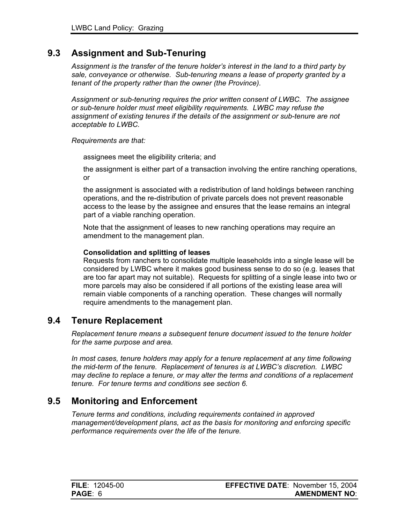# <span id="page-9-0"></span>**9.3 Assignment and Sub-Tenuring**

*Assignment is the transfer of the tenure holder's interest in the land to a third party by sale, conveyance or otherwise. Sub-tenuring means a lease of property granted by a tenant of the property rather than the owner (the Province).* 

*Assignment or sub-tenuring requires the prior written consent of LWBC. The assignee or sub-tenure holder must meet eligibility requirements. LWBC may refuse the assignment of existing tenures if the details of the assignment or sub-tenure are not acceptable to LWBC.* 

#### *Requirements are that:*

assignees meet the eligibility criteria; and

the assignment is either part of a transaction involving the entire ranching operations, or

the assignment is associated with a redistribution of land holdings between ranching operations, and the re-distribution of private parcels does not prevent reasonable access to the lease by the assignee and ensures that the lease remains an integral part of a viable ranching operation.

Note that the assignment of leases to new ranching operations may require an amendment to the management plan.

#### **Consolidation and splitting of leases**

Requests from ranchers to consolidate multiple leaseholds into a single lease will be considered by LWBC where it makes good business sense to do so (e.g. leases that are too far apart may not suitable). Requests for splitting of a single lease into two or more parcels may also be considered if all portions of the existing lease area will remain viable components of a ranching operation. These changes will normally require amendments to the management plan.

#### **9.4 Tenure Replacement**

*Replacement tenure means a subsequent tenure document issued to the tenure holder for the same purpose and area.* 

*In most cases, tenure holders may apply for a tenure replacement at any time following the mid-term of the tenure. Replacement of tenures is at LWBC's discretion. LWBC may decline to replace a tenure, or may alter the terms and conditions of a replacement tenure. For tenure terms and conditions see section 6.* 

#### **9.5 Monitoring and Enforcement**

*Tenure terms and conditions, including requirements contained in approved management/development plans, act as the basis for monitoring and enforcing specific performance requirements over the life of the tenure.* 

| <b>FILE</b> : $12045-00$ | <b>EFFECTIVE DATE: November 15, 2004</b> |
|--------------------------|------------------------------------------|
| <b>PAGE: 6</b>           | <b>AMENDMENT NO:</b>                     |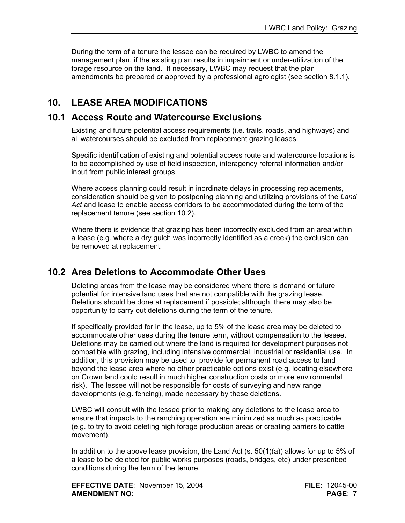<span id="page-10-0"></span>During the term of a tenure the lessee can be required by LWBC to amend the management plan, if the existing plan results in impairment or under-utilization of the forage resource on the land. If necessary, LWBC may request that the plan amendments be prepared or approved by a professional agrologist (see section 8.1.1).

# **10. LEASE AREA MODIFICATIONS**

### **10.1 Access Route and Watercourse Exclusions**

Existing and future potential access requirements (i.e. trails, roads, and highways) and all watercourses should be excluded from replacement grazing leases.

Specific identification of existing and potential access route and watercourse locations is to be accomplished by use of field inspection, interagency referral information and/or input from public interest groups.

Where access planning could result in inordinate delays in processing replacements, consideration should be given to postponing planning and utilizing provisions of the *Land Act* and lease to enable access corridors to be accommodated during the term of the replacement tenure (see section 10.2).

Where there is evidence that grazing has been incorrectly excluded from an area within a lease (e.g. where a dry gulch was incorrectly identified as a creek) the exclusion can be removed at replacement.

# **10.2 Area Deletions to Accommodate Other Uses**

Deleting areas from the lease may be considered where there is demand or future potential for intensive land uses that are not compatible with the grazing lease. Deletions should be done at replacement if possible; although, there may also be opportunity to carry out deletions during the term of the tenure.

If specifically provided for in the lease, up to 5% of the lease area may be deleted to accommodate other uses during the tenure term, without compensation to the lessee. Deletions may be carried out where the land is required for development purposes not compatible with grazing, including intensive commercial, industrial or residential use. In addition, this provision may be used to provide for permanent road access to land beyond the lease area where no other practicable options exist (e.g. locating elsewhere on Crown land could result in much higher construction costs or more environmental risk). The lessee will not be responsible for costs of surveying and new range developments (e.g. fencing), made necessary by these deletions.

LWBC will consult with the lessee prior to making any deletions to the lease area to ensure that impacts to the ranching operation are minimized as much as practicable (e.g. to try to avoid deleting high forage production areas or creating barriers to cattle movement).

In addition to the above lease provision, the Land Act (s. 50(1)(a)) allows for up to 5% of a lease to be deleted for public works purposes (roads, bridges, etc) under prescribed conditions during the term of the tenure.

| <b>EFFECTIVE DATE: November 15, 2004</b> | <b>FILE: 12045-00</b> |
|------------------------------------------|-----------------------|
| <b>AMENDMENT NO:</b>                     | <b>PAGE: 7</b>        |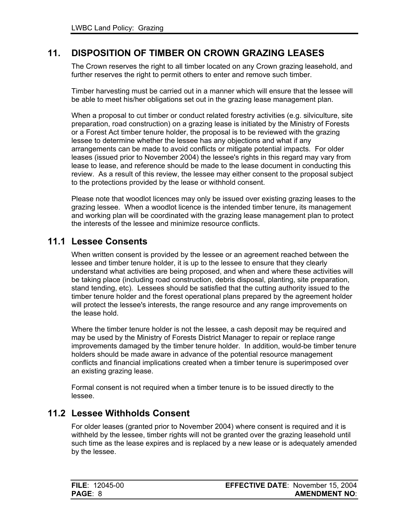### <span id="page-11-0"></span>**11. DISPOSITION OF TIMBER ON CROWN GRAZING LEASES**

The Crown reserves the right to all timber located on any Crown grazing leasehold, and further reserves the right to permit others to enter and remove such timber.

Timber harvesting must be carried out in a manner which will ensure that the lessee will be able to meet his/her obligations set out in the grazing lease management plan.

When a proposal to cut timber or conduct related forestry activities (e.g. silviculture, site preparation, road construction) on a grazing lease is initiated by the Ministry of Forests or a Forest Act timber tenure holder, the proposal is to be reviewed with the grazing lessee to determine whether the lessee has any objections and what if any arrangements can be made to avoid conflicts or mitigate potential impacts. For older leases (issued prior to November 2004) the lessee's rights in this regard may vary from lease to lease, and reference should be made to the lease document in conducting this review. As a result of this review, the lessee may either consent to the proposal subject to the protections provided by the lease or withhold consent.

Please note that woodlot licences may only be issued over existing grazing leases to the grazing lessee. When a woodlot licence is the intended timber tenure, its management and working plan will be coordinated with the grazing lease management plan to protect the interests of the lessee and minimize resource conflicts.

#### **11.1 Lessee Consents**

When written consent is provided by the lessee or an agreement reached between the lessee and timber tenure holder, it is up to the lessee to ensure that they clearly understand what activities are being proposed, and when and where these activities will be taking place (including road construction, debris disposal, planting, site preparation, stand tending, etc). Lessees should be satisfied that the cutting authority issued to the timber tenure holder and the forest operational plans prepared by the agreement holder will protect the lessee's interests, the range resource and any range improvements on the lease hold.

Where the timber tenure holder is not the lessee, a cash deposit may be required and may be used by the Ministry of Forests District Manager to repair or replace range improvements damaged by the timber tenure holder. In addition, would-be timber tenure holders should be made aware in advance of the potential resource management conflicts and financial implications created when a timber tenure is superimposed over an existing grazing lease.

Formal consent is not required when a timber tenure is to be issued directly to the lessee.

#### **11.2 Lessee Withholds Consent**

For older leases (granted prior to November 2004) where consent is required and it is withheld by the lessee, timber rights will not be granted over the grazing leasehold until such time as the lease expires and is replaced by a new lease or is adequately amended by the lessee.

| <b>FILE: 12045-00</b> | <b>EFFECTIVE DATE: November 15, 2004</b> |
|-----------------------|------------------------------------------|
| PAGE: 8               | <b>AMENDMENT NO:</b>                     |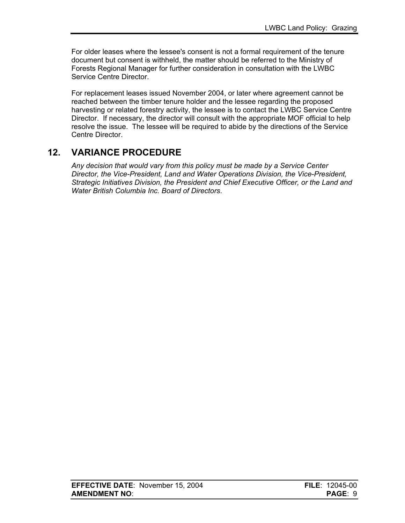<span id="page-12-0"></span>For older leases where the lessee's consent is not a formal requirement of the tenure document but consent is withheld, the matter should be referred to the Ministry of Forests Regional Manager for further consideration in consultation with the LWBC Service Centre Director.

For replacement leases issued November 2004, or later where agreement cannot be reached between the timber tenure holder and the lessee regarding the proposed harvesting or related forestry activity, the lessee is to contact the LWBC Service Centre Director. If necessary, the director will consult with the appropriate MOF official to help resolve the issue. The lessee will be required to abide by the directions of the Service Centre Director.

# **12. VARIANCE PROCEDURE**

*Any decision that would vary from this policy must be made by a Service Center Director, the Vice-President, Land and Water Operations Division, the Vice-President, Strategic Initiatives Division, the President and Chief Executive Officer, or the Land and Water British Columbia Inc. Board of Directors*.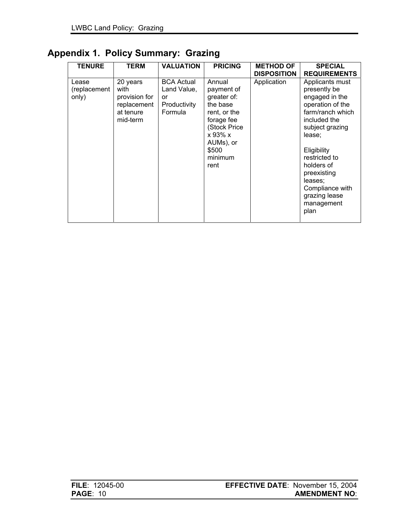# <span id="page-13-0"></span>**Appendix 1. Policy Summary: Grazing**

| <b>TENURE</b>                  | <b>TERM</b>                                                               | <b>VALUATION</b>                                                  | <b>PRICING</b>                                                                                                                                    | <b>METHOD OF</b><br><b>DISPOSITION</b> | <b>SPECIAL</b><br><b>REQUIREMENTS</b>                                                                                                                                                                                                                                    |
|--------------------------------|---------------------------------------------------------------------------|-------------------------------------------------------------------|---------------------------------------------------------------------------------------------------------------------------------------------------|----------------------------------------|--------------------------------------------------------------------------------------------------------------------------------------------------------------------------------------------------------------------------------------------------------------------------|
| Lease<br>(replacement<br>only) | 20 years<br>with<br>provision for<br>replacement<br>at tenure<br>mid-term | <b>BCA Actual</b><br>Land Value,<br>or<br>Productivity<br>Formula | Annual<br>payment of<br>greater of:<br>the base<br>rent, or the<br>forage fee<br>(Stock Price<br>x 93% x<br>AUMs), or<br>\$500<br>minimum<br>rent | Application                            | Applicants must<br>presently be<br>engaged in the<br>operation of the<br>farm/ranch which<br>included the<br>subject grazing<br>lease:<br>Eligibility<br>restricted to<br>holders of<br>preexisting<br>leases;<br>Compliance with<br>grazing lease<br>management<br>plan |

| <b>FILE</b> : 12045-00 | <b>EFFECTIVE DATE: November 15, 2004</b> |
|------------------------|------------------------------------------|
| <b>PAGE: 10</b>        | <b>AMENDMENT NO:</b>                     |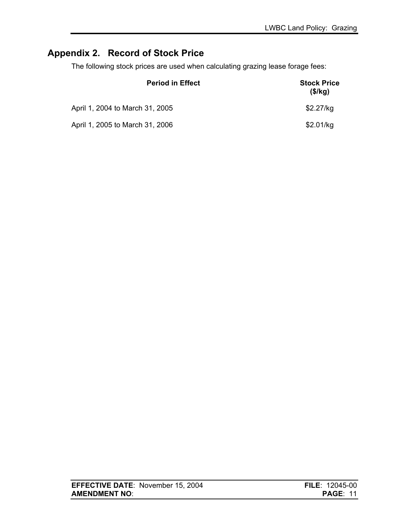# <span id="page-14-0"></span>**Appendix 2. Record of Stock Price**

The following stock prices are used when calculating grazing lease forage fees:

| <b>Period in Effect</b>         | <b>Stock Price</b><br>(\$/kg) |  |
|---------------------------------|-------------------------------|--|
| April 1, 2004 to March 31, 2005 | \$2.27/kg                     |  |
| April 1, 2005 to March 31, 2006 | \$2.01/kg                     |  |